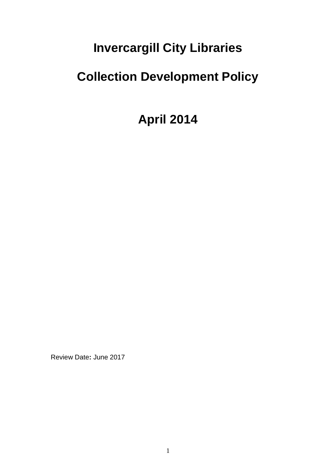# **Invercargill City Libraries**

# **Collection Development Policy**

**April 2014**

Review Date**:** June 2017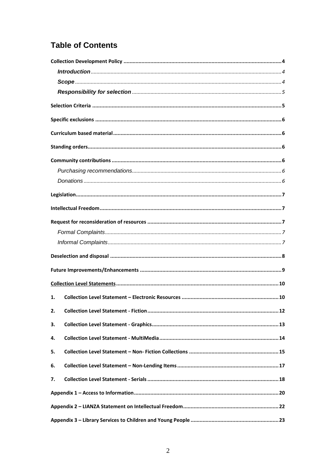# **Table of Contents**

| 1. |     |
|----|-----|
|    | .12 |
| 3. |     |
| 4. |     |
| 5. |     |
| 6. |     |
| 7. |     |
|    |     |
|    |     |
|    |     |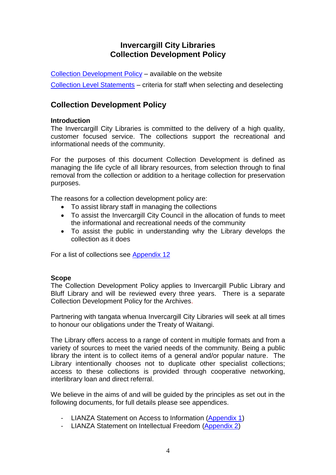# **Invercargill City Libraries Collection Development Policy**

[Collection Development](#page-3-0) Policy – available on the website [Collection Level Statements](#page-9-0) – criteria for staff when selecting and deselecting

# <span id="page-3-0"></span>**Collection Development Policy**

### **Introduction**

The Invercargill City Libraries is committed to the delivery of a high quality, customer focused service. The collections support the recreational and informational needs of the community.

For the purposes of this document Collection Development is defined as managing the life cycle of all library resources, from selection through to final removal from the collection or addition to a heritage collection for preservation purposes.

The reasons for a collection development policy are:

- To assist library staff in managing the collections
- To assist the Invercargill City Council in the allocation of funds to meet the informational and recreational needs of the community
- To assist the public in understanding why the Library develops the collection as it does

For a list of collections see [Appendix 12](#page-38-0)

### **Scope**

The Collection Development Policy applies to Invercargill Public Library and Bluff Library and will be reviewed every three years. There is a separate Collection Development Policy for the Archives.

Partnering with tangata whenua Invercargill City Libraries will seek at all times to honour our obligations under the Treaty of Waitangi.

The Library offers access to a range of content in multiple formats and from a variety of sources to meet the varied needs of the community. Being a public library the intent is to collect items of a general and/or popular nature. The Library intentionally chooses not to duplicate other specialist collections; access to these collections is provided through cooperative networking, interlibrary loan and direct referral.

We believe in the aims of and will be guided by the principles as set out in the following documents, for full details please see appendices.

- LIANZA Statement on Access to Information [\(Appendix 1\)](#page-19-0)
- LIANZA Statement on Intellectual Freedom [\(Appendix 2\)](#page-21-0)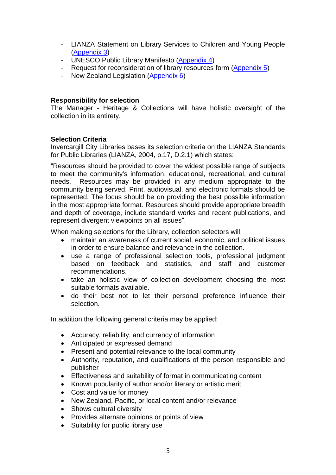- LIANZA Statement on Library Services to Children and Young People [\(Appendix 3\)](#page-22-0)
- UNESCO Public Library Manifesto [\(Appendix 4\)](#page-23-0)
- Request for reconsideration of library resources form [\(Appendix 5\)](#page-26-0)
- New Zealand Legislation [\(Appendix 6\)](#page-28-0)

### **Responsibility for selection**

The Manager - Heritage & Collections will have holistic oversight of the collection in its entirety.

### **Selection Criteria**

Invercargill City Libraries bases its selection criteria on the LIANZA Standards for Public Libraries (LIANZA, 2004, p.17, D.2.1) which states:

"Resources should be provided to cover the widest possible range of subjects to meet the community's information, educational, recreational, and cultural needs. Resources may be provided in any medium appropriate to the community being served. Print, audiovisual, and electronic formats should be represented. The focus should be on providing the best possible information in the most appropriate format. Resources should provide appropriate breadth and depth of coverage, include standard works and recent publications, and represent divergent viewpoints on all issues".

When making selections for the Library, collection selectors will:

- maintain an awareness of current social, economic, and political issues in order to ensure balance and relevance in the collection.
- use a range of professional selection tools, professional judgment based on feedback and statistics, and staff and customer recommendations.
- take an holistic view of collection development choosing the most suitable formats available.
- do their best not to let their personal preference influence their selection.

In addition the following general criteria may be applied:

- Accuracy, reliability, and currency of information
- Anticipated or expressed demand
- Present and potential relevance to the local community
- Authority, reputation, and qualifications of the person responsible and publisher
- Effectiveness and suitability of format in communicating content
- Known popularity of author and/or literary or artistic merit
- Cost and value for money
- New Zealand, Pacific, or local content and/or relevance
- Shows cultural diversity
- Provides alternate opinions or points of view
- Suitability for public library use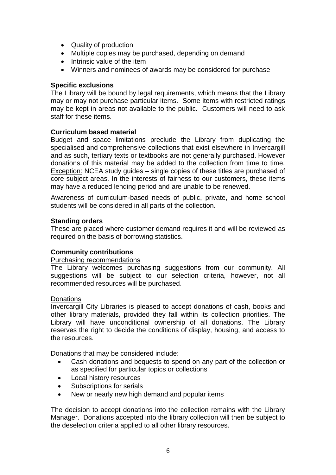- Quality of production
- Multiple copies may be purchased, depending on demand
- Intrinsic value of the item
- Winners and nominees of awards may be considered for purchase

### <span id="page-5-0"></span>**Specific exclusions**

The Library will be bound by legal requirements, which means that the Library may or may not purchase particular items. Some items with restricted ratings may be kept in areas not available to the public. Customers will need to ask staff for these items.

### **Curriculum based material**

Budget and space limitations preclude the Library from duplicating the specialised and comprehensive collections that exist elsewhere in Invercargill and as such, tertiary texts or textbooks are not generally purchased. However donations of this material may be added to the collection from time to time. Exception: NCEA study guides – single copies of these titles are purchased of core subject areas. In the interests of fairness to our customers, these items may have a reduced lending period and are unable to be renewed.

Awareness of curriculum-based needs of public, private, and home school students will be considered in all parts of the collection.

### **Standing orders**

These are placed where customer demand requires it and will be reviewed as required on the basis of borrowing statistics.

### **Community contributions**

#### Purchasing recommendations

The Library welcomes purchasing suggestions from our community. All suggestions will be subject to our selection criteria, however, not all recommended resources will be purchased.

#### **Donations**

Invercargill City Libraries is pleased to accept donations of cash, books and other library materials, provided they fall within its collection priorities. The Library will have unconditional ownership of all donations. The Library reserves the right to decide the conditions of display, housing, and access to the resources.

Donations that may be considered include:

- Cash donations and bequests to spend on any part of the collection or as specified for particular topics or collections
- Local history resources
- Subscriptions for serials
- New or nearly new high demand and popular items

The decision to accept donations into the collection remains with the Library Manager. Donations accepted into the library collection will then be subject to the deselection criteria applied to all other library resources.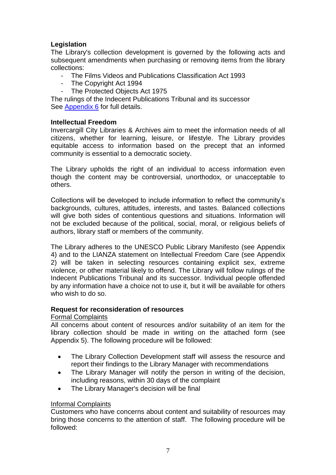## **Legislation**

The Library's collection development is governed by the following acts and subsequent amendments when purchasing or removing items from the library collections:

- The Films Videos and Publications Classification Act 1993
- The Copyright Act 1994
- The Protected Objects Act 1975

The rulings of the Indecent Publications Tribunal and its successor See [Appendix 6](#page-28-0) for full details.

### **Intellectual Freedom**

Invercargill City Libraries & Archives aim to meet the information needs of all citizens, whether for learning, leisure, or lifestyle. The Library provides equitable access to information based on the precept that an informed community is essential to a democratic society.

The Library upholds the right of an individual to access information even though the content may be controversial, unorthodox, or unacceptable to others.

Collections will be developed to include information to reflect the community's backgrounds, cultures, attitudes, interests, and tastes. Balanced collections will give both sides of contentious questions and situations. Information will not be excluded because of the political, social, moral, or religious beliefs of authors, library staff or members of the community.

The Library adheres to the UNESCO Public Library Manifesto (see Appendix 4) and to the LIANZA statement on Intellectual Freedom Care (see Appendix 2) will be taken in selecting resources containing explicit sex, extreme violence, or other material likely to offend. The Library will follow rulings of the Indecent Publications Tribunal and its successor. Individual people offended by any information have a choice not to use it, but it will be available for others who wish to do so.

### **Request for reconsideration of resources**

### Formal Complaints

All concerns about content of resources and/or suitability of an item for the library collection should be made in writing on the attached form (see Appendix 5). The following procedure will be followed:

- The Library Collection Development staff will assess the resource and report their findings to the Library Manager with recommendations
- The Library Manager will notify the person in writing of the decision, including reasons, within 30 days of the complaint
- The Library Manager's decision will be final

### Informal Complaints

Customers who have concerns about content and suitability of resources may bring those concerns to the attention of staff. The following procedure will be followed: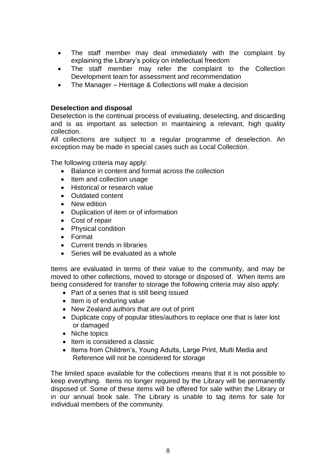- The staff member may deal immediately with the complaint by explaining the Library's policy on intellectual freedom
- The staff member may refer the complaint to the Collection Development team for assessment and recommendation
- The Manager Heritage & Collections will make a decision

### **Deselection and disposal**

Deselection is the continual process of evaluating, deselecting, and discarding and is as important as selection in maintaining a relevant, high quality collection.

All collections are subject to a regular programme of deselection. An exception may be made in special cases such as Local Collection.

The following criteria may apply:

- Balance in content and format across the collection
- Item and collection usage
- Historical or research value
- Outdated content
- New edition
- Duplication of item or of information
- Cost of repair
- Physical condition
- Format
- Current trends in libraries
- Series will be evaluated as a whole

Items are evaluated in terms of their value to the community, and may be moved to other collections, moved to storage or disposed of. When items are being considered for transfer to storage the following criteria may also apply:

- Part of a series that is still being issued
- $\bullet$  Item is of enduring value
- New Zealand authors that are out of print
- Duplicate copy of popular titles/authors to replace one that is later lost or damaged
- Niche topics
- $\bullet$  Item is considered a classic
- Items from Children's, Young Adults, Large Print, Multi Media and Reference will not be considered for storage

The limited space available for the collections means that it is not possible to keep everything. Items no longer required by the Library will be permanently disposed of. Some of these items will be offered for sale within the Library or in our annual book sale. The Library is unable to tag items for sale for individual members of the community.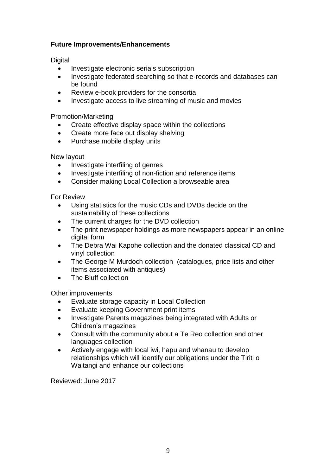### **Future Improvements/Enhancements**

**Digital** 

- Investigate electronic serials subscription
- Investigate federated searching so that e-records and databases can be found
- Review e-book providers for the consortia
- Investigate access to live streaming of music and movies

Promotion/Marketing

- Create effective display space within the collections
- Create more face out display shelving
- Purchase mobile display units

New layout

- Investigate interfiling of genres
- Investigate interfiling of non-fiction and reference items
- Consider making Local Collection a browseable area

For Review

- Using statistics for the music CDs and DVDs decide on the sustainability of these collections
- The current charges for the DVD collection
- The print newspaper holdings as more newspapers appear in an online digital form
- The Debra Wai Kapohe collection and the donated classical CD and vinyl collection
- The George M Murdoch collection (catalogues, price lists and other items associated with antiques)
- The Bluff collection

Other improvements

- Evaluate storage capacity in Local Collection
- Evaluate keeping Government print items
- Investigate Parents magazines being integrated with Adults or Children's magazines
- Consult with the community about a Te Reo collection and other languages collection
- Actively engage with local iwi, hapu and whanau to develop relationships which will identify our obligations under the Tiriti o Waitangi and enhance our collections

Reviewed: June 2017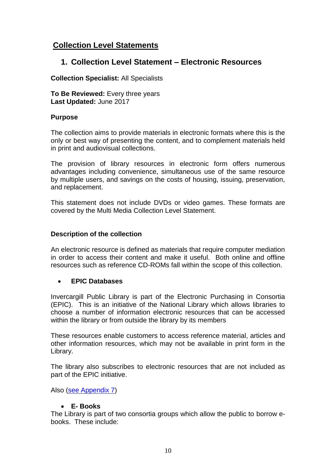# <span id="page-9-0"></span>**Collection Level Statements**

# **1. Collection Level Statement – Electronic Resources**

### **Collection Specialist:** All Specialists

**To Be Reviewed:** Every three years **Last Updated:** June 2017

### **Purpose**

The collection aims to provide materials in electronic formats where this is the only or best way of presenting the content, and to complement materials held in print and audiovisual collections.

The provision of library resources in electronic form offers numerous advantages including convenience, simultaneous use of the same resource by multiple users, and savings on the costs of housing, issuing, preservation, and replacement.

This statement does not include DVDs or video games. These formats are covered by the Multi Media Collection Level Statement.

### **Description of the collection**

An electronic resource is defined as materials that require computer mediation in order to access their content and make it useful. Both online and offline resources such as reference CD-ROMs fall within the scope of this collection.

### **EPIC Databases**

Invercargill Public Library is part of the Electronic Purchasing in Consortia (EPIC). This is an initiative of the National Library which allows libraries to choose a number of information electronic resources that can be accessed within the library or from outside the library by its members

These resources enable customers to access reference material, articles and other information resources, which may not be available in print form in the Library.

The library also subscribes to electronic resources that are not included as part of the EPIC initiative.

Also [\(see Appendix 7\)](#page-30-0)

### **E- Books**

The Library is part of two consortia groups which allow the public to borrow ebooks. These include: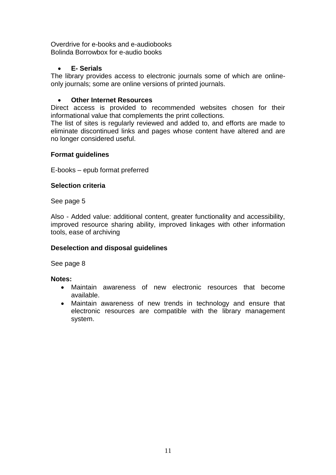Overdrive for e-books and e-audiobooks Bolinda Borrowbox for e-audio books

### **E- Serials**

The library provides access to electronic journals some of which are onlineonly journals; some are online versions of printed journals.

### **Other Internet Resources**

Direct access is provided to recommended websites chosen for their informational value that complements the print collections.

The list of sites is regularly reviewed and added to, and efforts are made to eliminate discontinued links and pages whose content have altered and are no longer considered useful.

### **Format guidelines**

E-books – epub format preferred

### **Selection criteria**

See page 5

Also - Added value: additional content, greater functionality and accessibility, improved resource sharing ability, improved linkages with other information tools, ease of archiving

### **Deselection and disposal guidelines**

See page 8

### **Notes:**

- Maintain awareness of new electronic resources that become available.
- Maintain awareness of new trends in technology and ensure that electronic resources are compatible with the library management system.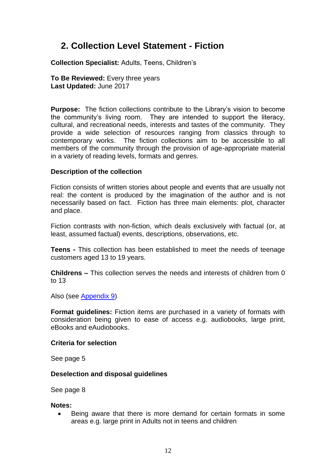# **2. Collection Level Statement - Fiction**

**Collection Specialist:** Adults, Teens, Children's

**To Be Reviewed:** Every three years **Last Updated:** June 2017

**Purpose:** The fiction collections contribute to the Library's vision to become the community's living room. They are intended to support the literacy, cultural, and recreational needs, interests and tastes of the community. They provide a wide selection of resources ranging from classics through to contemporary works. The fiction collections aim to be accessible to all members of the community through the provision of age-appropriate material in a variety of reading levels, formats and genres.

### **Description of the collection**

Fiction consists of written stories about people and events that are usually not real: the content is produced by the imagination of the author and is not necessarily based on fact. Fiction has three main elements: plot, character and place.

Fiction contrasts with non-fiction, which deals exclusively with factual (or, at least, assumed factual) events, descriptions, observations, etc.

**Teens -** This collection has been established to meet the needs of teenage customers aged 13 to 19 years.

**Childrens –** This collection serves the needs and interests of children from 0 to 13

Also (see [Appendix 9\)](#page-35-0)

**Format guidelines:** Fiction items are purchased in a variety of formats with consideration being given to ease of access e.g. audiobooks, large print, eBooks and eAudiobooks.

### **Criteria for selection**

See page 5

### **Deselection and disposal guidelines**

See page 8

#### **Notes:**

 Being aware that there is more demand for certain formats in some areas e.g. large print in Adults not in teens and children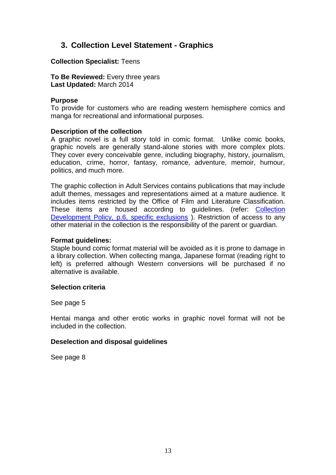# **3. Collection Level Statement - Graphics**

**Collection Specialist:** Teens

**To Be Reviewed:** Every three years **Last Updated:** March 2014

#### **Purpose**

To provide for customers who are reading western hemisphere comics and manga for recreational and informational purposes.

### **Description of the collection**

A graphic novel is a full story told in comic format. Unlike comic books, graphic novels are generally stand-alone stories with more complex plots. They cover every conceivable genre, including biography, history, journalism, education, crime, horror, fantasy, romance, adventure, memoir, humour, politics, and much more.

The graphic collection in Adult Services contains publications that may include adult themes, messages and representations aimed at a mature audience. It includes items restricted by the Office of Film and Literature Classification. These items are housed according to guidelines. (refer: [Collection](#page-5-0)  [Development Policy, p.6, specific exclusions](#page-5-0) ). Restriction of access to any other material in the collection is the responsibility of the parent or guardian.

#### **Format guidelines:**

Staple bound comic format material will be avoided as it is prone to damage in a library collection. When collecting manga, Japanese format (reading right to left) is preferred although Western conversions will be purchased if no alternative is available.

#### **Selection criteria**

See page 5

Hentai manga and other erotic works in graphic novel format will not be included in the collection.

### **Deselection and disposal guidelines**

See page 8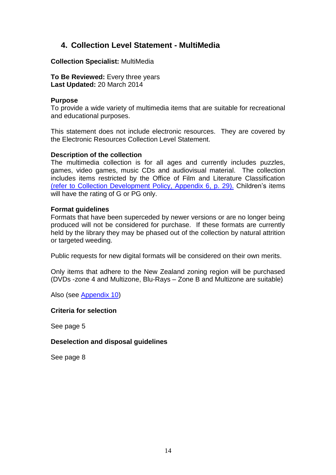# **4. Collection Level Statement - MultiMedia**

**Collection Specialist:** MultiMedia

**To Be Reviewed:** Every three years **Last Updated:** 20 March 2014

#### **Purpose**

To provide a wide variety of multimedia items that are suitable for recreational and educational purposes.

This statement does not include electronic resources. They are covered by the Electronic Resources Collection Level Statement.

#### **Description of the collection**

The multimedia collection is for all ages and currently includes puzzles, games, video games, music CDs and audiovisual material. The collection includes items restricted by the Office of Film and Literature Classification [\(refer to Collection Development Policy, Appendix 6, p. 29\).](#page-28-0) Children's items will have the rating of G or PG only.

### **Format guidelines**

Formats that have been superceded by newer versions or are no longer being produced will not be considered for purchase. If these formats are currently held by the library they may be phased out of the collection by natural attrition or targeted weeding.

Public requests for new digital formats will be considered on their own merits.

Only items that adhere to the New Zealand zoning region will be purchased (DVDs -zone 4 and Multizone, Blu-Rays – Zone B and Multizone are suitable)

Also (see [Appendix 10\)](#page-36-0)

#### **Criteria for selection**

See page 5

#### **Deselection and disposal guidelines**

See page 8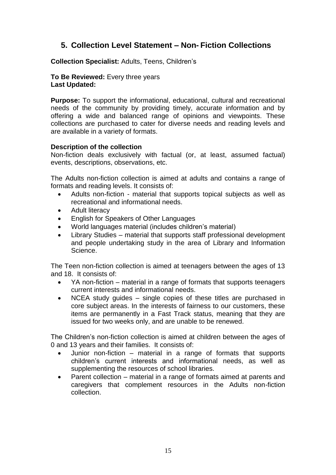# **5. Collection Level Statement – Non- Fiction Collections**

**Collection Specialist:** Adults, Teens, Children's

**To Be Reviewed:** Every three years **Last Updated:**

**Purpose:** To support the informational, educational, cultural and recreational needs of the community by providing timely, accurate information and by offering a wide and balanced range of opinions and viewpoints. These collections are purchased to cater for diverse needs and reading levels and are available in a variety of formats.

### **Description of the collection**

Non-fiction deals exclusively with factual (or, at least, assumed factual) events, descriptions, observations, etc.

The Adults non-fiction collection is aimed at adults and contains a range of formats and reading levels. It consists of:

- Adults non-fiction material that supports topical subjects as well as recreational and informational needs.
- Adult literacy
- English for Speakers of Other Languages
- World languages material (includes children's material)
- Library Studies material that supports staff professional development and people undertaking study in the area of Library and Information Science.

The Teen non-fiction collection is aimed at teenagers between the ages of 13 and 18. It consists of:

- YA non-fiction material in a range of formats that supports teenagers current interests and informational needs.
- NCEA study quides single copies of these titles are purchased in core subject areas. In the interests of fairness to our customers, these items are permanently in a Fast Track status, meaning that they are issued for two weeks only, and are unable to be renewed.

The Children's non-fiction collection is aimed at children between the ages of 0 and 13 years and their families. It consists of:

- Junior non-fiction material in a range of formats that supports children's current interests and informational needs, as well as supplementing the resources of school libraries.
- Parent collection material in a range of formats aimed at parents and caregivers that complement resources in the Adults non-fiction collection.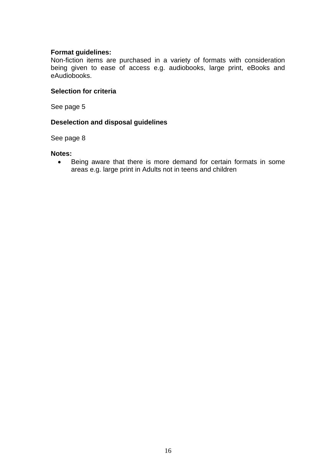### **Format guidelines:**

Non-fiction items are purchased in a variety of formats with consideration being given to ease of access e.g. audiobooks, large print, eBooks and eAudiobooks.

### **Selection for criteria**

See page 5

### **Deselection and disposal guidelines**

See page 8

#### **Notes:**

• Being aware that there is more demand for certain formats in some areas e.g. large print in Adults not in teens and children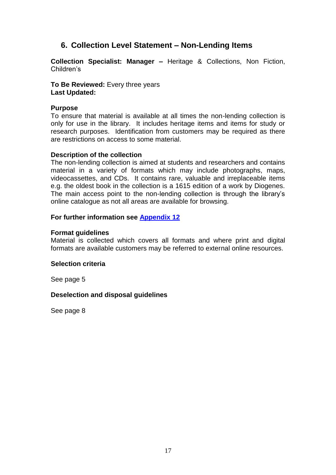# **6. Collection Level Statement – Non-Lending Items**

**Collection Specialist: Manager –** Heritage & Collections, Non Fiction, Children's

**To Be Reviewed:** Every three years **Last Updated:**

### **Purpose**

To ensure that material is available at all times the non-lending collection is only for use in the library. It includes heritage items and items for study or research purposes. Identification from customers may be required as there are restrictions on access to some material.

### **Description of the collection**

The non-lending collection is aimed at students and researchers and contains material in a variety of formats which may include photographs, maps, videocassettes, and CDs. It contains rare, valuable and irreplaceable items e.g. the oldest book in the collection is a 1615 edition of a work by Diogenes. The main access point to the non-lending collection is through the library's online catalogue as not all areas are available for browsing.

### **For further information see [Appendix 12](#page-38-0)**

### **Format guidelines**

Material is collected which covers all formats and where print and digital formats are available customers may be referred to external online resources.

#### **Selection criteria**

See page 5

### **Deselection and disposal guidelines**

See page 8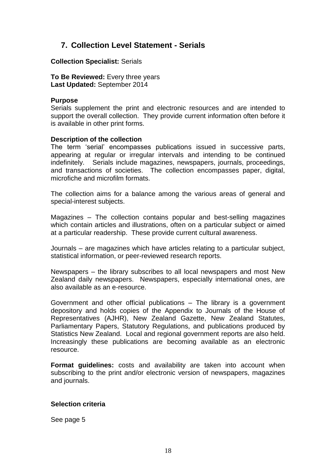# **7. Collection Level Statement - Serials**

**Collection Specialist:** Serials

**To Be Reviewed:** Every three years **Last Updated:** September 2014

#### **Purpose**

Serials supplement the print and electronic resources and are intended to support the overall collection. They provide current information often before it is available in other print forms.

### **Description of the collection**

The term 'serial' encompasses publications issued in successive parts, appearing at regular or irregular intervals and intending to be continued indefinitely. Serials include magazines, newspapers, journals, proceedings, and transactions of societies. The collection encompasses paper, digital, microfiche and microfilm formats.

The collection aims for a balance among the various areas of general and special-interest subjects.

Magazines – The collection contains popular and best-selling magazines which contain articles and illustrations, often on a particular subject or aimed at a particular readership. These provide current cultural awareness.

Journals – are magazines which have articles relating to a particular subject, statistical information, or peer-reviewed research reports.

Newspapers – the library subscribes to all local newspapers and most New Zealand daily newspapers. Newspapers, especially international ones, are also available as an e-resource.

Government and other official publications – The library is a government depository and holds copies of the Appendix to Journals of the House of Representatives (AJHR), New Zealand Gazette, New Zealand Statutes, Parliamentary Papers, Statutory Regulations, and publications produced by Statistics New Zealand. Local and regional government reports are also held. Increasingly these publications are becoming available as an electronic resource.

**Format guidelines:** costs and availability are taken into account when subscribing to the print and/or electronic version of newspapers, magazines and journals.

#### **Selection criteria**

See page 5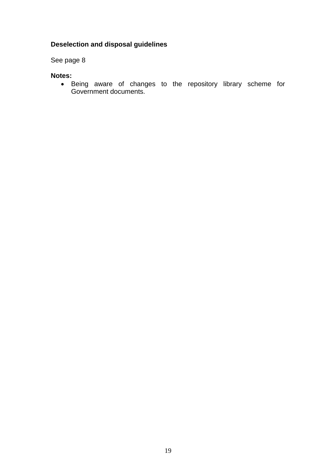# **Deselection and disposal guidelines**

See page 8

### **Notes:**

 Being aware of changes to the repository library scheme for Government documents.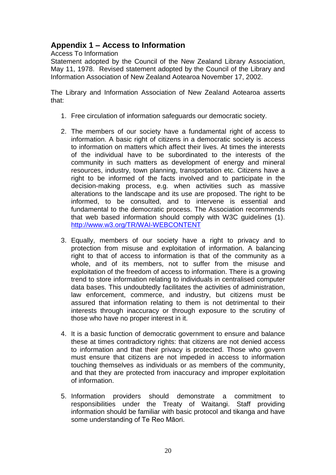# <span id="page-19-0"></span>**Appendix 1 – Access to Information**

Access To Information

Statement adopted by the Council of the New Zealand Library Association, May 11, 1978. Revised statement adopted by the Council of the Library and Information Association of New Zealand Aotearoa November 17, 2002.

The Library and Information Association of New Zealand Aotearoa asserts that:

- 1. Free circulation of information safeguards our democratic society.
- 2. The members of our society have a fundamental right of access to information. A basic right of citizens in a democratic society is access to information on matters which affect their lives. At times the interests of the individual have to be subordinated to the interests of the community in such matters as development of energy and mineral resources, industry, town planning, transportation etc. Citizens have a right to be informed of the facts involved and to participate in the decision-making process, e.g. when activities such as massive alterations to the landscape and its use are proposed. The right to be informed, to be consulted, and to intervene is essential and fundamental to the democratic process. The Association recommends that web based information should comply with W3C guidelines (1). <http://www.w3.org/TR/WAI-WEBCONTENT>
- 3. Equally, members of our society have a right to privacy and to protection from misuse and exploitation of information. A balancing right to that of access to information is that of the community as a whole, and of its members, not to suffer from the misuse and exploitation of the freedom of access to information. There is a growing trend to store information relating to individuals in centralised computer data bases. This undoubtedly facilitates the activities of administration, law enforcement, commerce, and industry, but citizens must be assured that information relating to them is not detrimental to their interests through inaccuracy or through exposure to the scrutiny of those who have no proper interest in it.
- 4. It is a basic function of democratic government to ensure and balance these at times contradictory rights: that citizens are not denied access to information and that their privacy is protected. Those who govern must ensure that citizens are not impeded in access to information touching themselves as individuals or as members of the community, and that they are protected from inaccuracy and improper exploitation of information.
- 5. Information providers should demonstrate a commitment to responsibilities under the Treaty of Waitangi. Staff providing information should be familiar with basic protocol and tikanga and have some understanding of Te Reo Māori.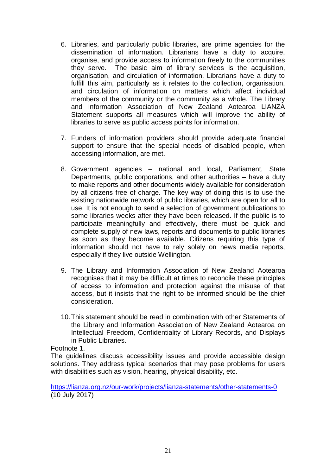- 6. Libraries, and particularly public libraries, are prime agencies for the dissemination of information. Librarians have a duty to acquire, organise, and provide access to information freely to the communities they serve. The basic aim of library services is the acquisition, organisation, and circulation of information. Librarians have a duty to fulfill this aim, particularly as it relates to the collection, organisation, and circulation of information on matters which affect individual members of the community or the community as a whole. The Library and Information Association of New Zealand Aotearoa LIANZA Statement supports all measures which will improve the ability of libraries to serve as public access points for information.
- 7. Funders of information providers should provide adequate financial support to ensure that the special needs of disabled people, when accessing information, are met.
- 8. Government agencies national and local, Parliament, State Departments, public corporations, and other authorities – have a duty to make reports and other documents widely available for consideration by all citizens free of charge. The key way of doing this is to use the existing nationwide network of public libraries, which are open for all to use. It is not enough to send a selection of government publications to some libraries weeks after they have been released. If the public is to participate meaningfully and effectively, there must be quick and complete supply of new laws, reports and documents to public libraries as soon as they become available. Citizens requiring this type of information should not have to rely solely on news media reports, especially if they live outside Wellington.
- 9. The Library and Information Association of New Zealand Aotearoa recognises that it may be difficult at times to reconcile these principles of access to information and protection against the misuse of that access, but it insists that the right to be informed should be the chief consideration.
- 10.This statement should be read in combination with other Statements of the Library and Information Association of New Zealand Aotearoa on Intellectual Freedom, Confidentiality of Library Records, and Displays in Public Libraries.

Footnote 1.

The guidelines discuss accessibility issues and provide accessible design solutions. They address typical scenarios that may pose problems for users with disabilities such as vision, hearing, physical disability, etc.

<https://lianza.org.nz/our-work/projects/lianza-statements/other-statements-0> (10 July 2017)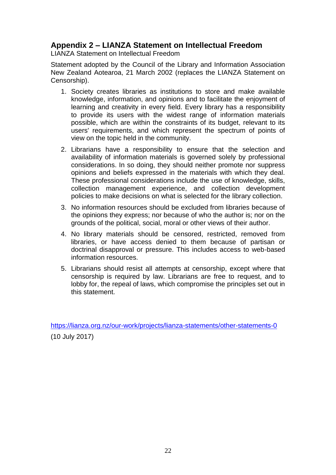# <span id="page-21-0"></span>**Appendix 2 – LIANZA Statement on Intellectual Freedom**

LIANZA Statement on Intellectual Freedom

Statement adopted by the Council of the Library and Information Association New Zealand Aotearoa, 21 March 2002 (replaces the LIANZA Statement on Censorship).

- 1. Society creates libraries as institutions to store and make available knowledge, information, and opinions and to facilitate the enjoyment of learning and creativity in every field. Every library has a responsibility to provide its users with the widest range of information materials possible, which are within the constraints of its budget, relevant to its users' requirements, and which represent the spectrum of points of view on the topic held in the community.
- 2. Librarians have a responsibility to ensure that the selection and availability of information materials is governed solely by professional considerations. In so doing, they should neither promote nor suppress opinions and beliefs expressed in the materials with which they deal. These professional considerations include the use of knowledge, skills, collection management experience, and collection development policies to make decisions on what is selected for the library collection.
- 3. No information resources should be excluded from libraries because of the opinions they express; nor because of who the author is; nor on the grounds of the political, social, moral or other views of their author.
- 4. No library materials should be censored, restricted, removed from libraries, or have access denied to them because of partisan or doctrinal disapproval or pressure. This includes access to web-based information resources.
- 5. Librarians should resist all attempts at censorship, except where that censorship is required by law. Librarians are free to request, and to lobby for, the repeal of laws, which compromise the principles set out in this statement.

<https://lianza.org.nz/our-work/projects/lianza-statements/other-statements-0> (10 July 2017)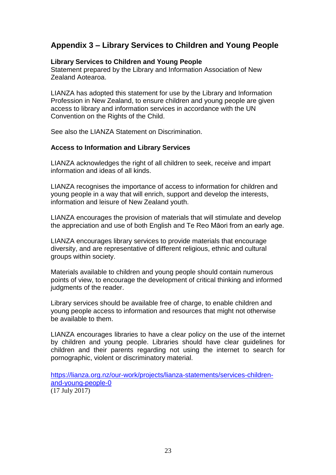# <span id="page-22-0"></span>**Appendix 3 – Library Services to Children and Young People**

### **Library Services to Children and Young People**

Statement prepared by the Library and Information Association of New Zealand Aotearoa.

LIANZA has adopted this statement for use by the Library and Information Profession in New Zealand, to ensure children and young people are given access to library and information services in accordance with the UN Convention on the Rights of the Child.

See also the LIANZA Statement on Discrimination.

### **Access to Information and Library Services**

LIANZA acknowledges the right of all children to seek, receive and impart information and ideas of all kinds.

LIANZA recognises the importance of access to information for children and young people in a way that will enrich, support and develop the interests, information and leisure of New Zealand youth.

LIANZA encourages the provision of materials that will stimulate and develop the appreciation and use of both English and Te Reo Māori from an early age.

LIANZA encourages library services to provide materials that encourage diversity, and are representative of different religious, ethnic and cultural groups within society.

Materials available to children and young people should contain numerous points of view, to encourage the development of critical thinking and informed judgments of the reader.

Library services should be available free of charge, to enable children and young people access to information and resources that might not otherwise be available to them.

LIANZA encourages libraries to have a clear policy on the use of the internet by children and young people. Libraries should have clear guidelines for children and their parents regarding not using the internet to search for pornographic, violent or discriminatory material.

[https://lianza.org.nz/our-work/projects/lianza-statements/services-children](https://lianza.org.nz/our-work/projects/lianza-statements/services-children-and-young-people-0)[and-young-people-0](https://lianza.org.nz/our-work/projects/lianza-statements/services-children-and-young-people-0) (17 July 2017)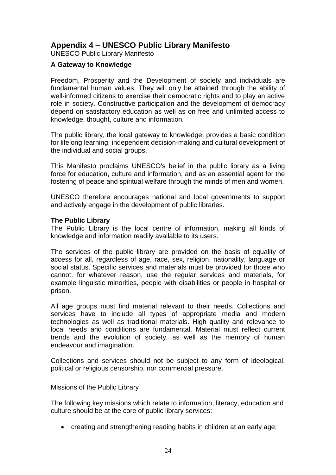# <span id="page-23-0"></span>**Appendix 4 – UNESCO Public Library Manifesto**

UNESCO Public Library Manifesto

### **A Gateway to Knowledge**

Freedom, Prosperity and the Development of society and individuals are fundamental human values. They will only be attained through the ability of well-informed citizens to exercise their democratic rights and to play an active role in society. Constructive participation and the development of democracy depend on satisfactory education as well as on free and unlimited access to knowledge, thought, culture and information.

The public library, the local gateway to knowledge, provides a basic condition for lifelong learning, independent decision-making and cultural development of the individual and social groups.

This Manifesto proclaims UNESCO's belief in the public library as a living force for education, culture and information, and as an essential agent for the fostering of peace and spiritual welfare through the minds of men and women.

UNESCO therefore encourages national and local governments to support and actively engage in the development of public libraries.

### **The Public Library**

The Public Library is the local centre of information, making all kinds of knowledge and information readily available to its users.

The services of the public library are provided on the basis of equality of access for all, regardless of age, race, sex, religion, nationality, language or social status. Specific services and materials must be provided for those who cannot, for whatever reason, use the regular services and materials, for example linguistic minorities, people with disabilities or people in hospital or prison.

All age groups must find material relevant to their needs. Collections and services have to include all types of appropriate media and modern technologies as well as traditional materials. High quality and relevance to local needs and conditions are fundamental. Material must reflect current trends and the evolution of society, as well as the memory of human endeavour and imagination.

Collections and services should not be subject to any form of ideological, political or religious censorship, nor commercial pressure.

### Missions of the Public Library

The following key missions which relate to information, literacy, education and culture should be at the core of public library services:

creating and strengthening reading habits in children at an early age;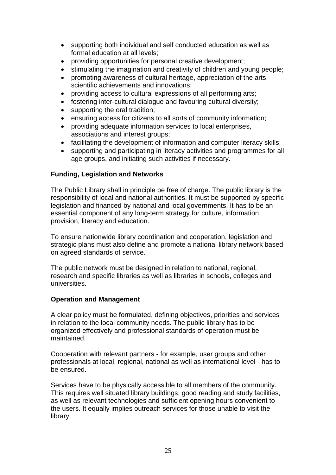- supporting both individual and self conducted education as well as formal education at all levels;
- providing opportunities for personal creative development;
- stimulating the imagination and creativity of children and young people;
- promoting awareness of cultural heritage, appreciation of the arts, scientific achievements and innovations;
- providing access to cultural expressions of all performing arts;
- fostering inter-cultural dialogue and favouring cultural diversity;
- supporting the oral tradition;
- ensuring access for citizens to all sorts of community information;
- providing adequate information services to local enterprises, associations and interest groups;
- facilitating the development of information and computer literacy skills;
- supporting and participating in literacy activities and programmes for all age groups, and initiating such activities if necessary.

### **Funding, Legislation and Networks**

The Public Library shall in principle be free of charge. The public library is the responsibility of local and national authorities. It must be supported by specific legislation and financed by national and local governments. It has to be an essential component of any long-term strategy for culture, information provision, literacy and education.

To ensure nationwide library coordination and cooperation, legislation and strategic plans must also define and promote a national library network based on agreed standards of service.

The public network must be designed in relation to national, regional, research and specific libraries as well as libraries in schools, colleges and universities.

### **Operation and Management**

A clear policy must be formulated, defining objectives, priorities and services in relation to the local community needs. The public library has to be organized effectively and professional standards of operation must be maintained.

Cooperation with relevant partners - for example, user groups and other professionals at local, regional, national as well as international level - has to be ensured.

Services have to be physically accessible to all members of the community. This requires well situated library buildings, good reading and study facilities, as well as relevant technologies and sufficient opening hours convenient to the users. It equally implies outreach services for those unable to visit the library.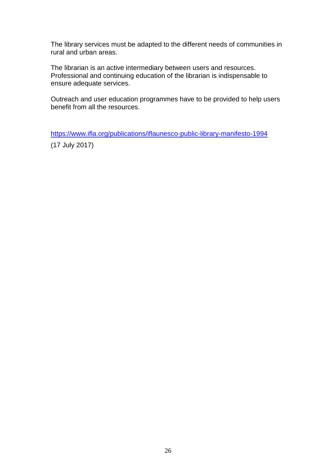The library services must be adapted to the different needs of communities in rural and urban areas.

The librarian is an active intermediary between users and resources. Professional and continuing education of the librarian is indispensable to ensure adequate services.

Outreach and user education programmes have to be provided to help users benefit from all the resources.

<https://www.ifla.org/publications/iflaunesco-public-library-manifesto-1994>

(17 July 2017)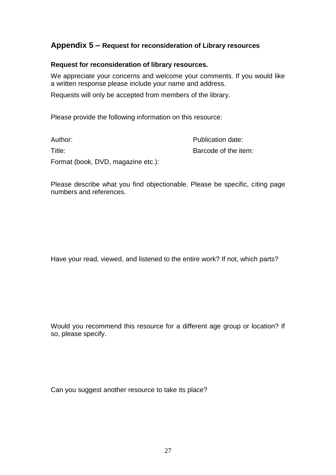# <span id="page-26-0"></span>**Appendix 5 – Request for reconsideration of Library resources**

### **Request for reconsideration of library resources.**

We appreciate your concerns and welcome your comments. If you would like a written response please include your name and address.

Requests will only be accepted from members of the library.

Please provide the following information on this resource:

| Author:                            | Publication date:    |
|------------------------------------|----------------------|
| Title:                             | Barcode of the item: |
| Format (book, DVD, magazine etc.): |                      |

Please describe what you find objectionable. Please be specific, citing page numbers and references.

Have your read, viewed, and listened to the entire work? If not, which parts?

Would you recommend this resource for a different age group or location? If so, please specify.

Can you suggest another resource to take its place?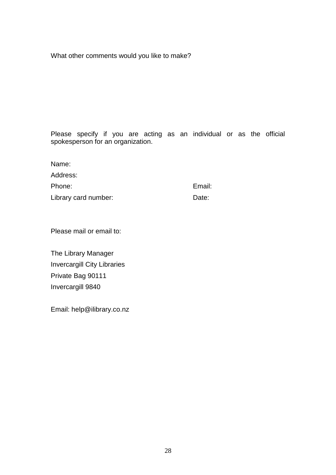What other comments would you like to make?

Please specify if you are acting as an individual or as the official spokesperson for an organization.

| Name:                |        |
|----------------------|--------|
| Address:             |        |
| Phone:               | Email: |
| Library card number: | Date:  |

Please mail or email to:

The Library Manager Invercargill City Libraries Private Bag 90111 Invercargill 9840

Email: help@ilibrary.co.nz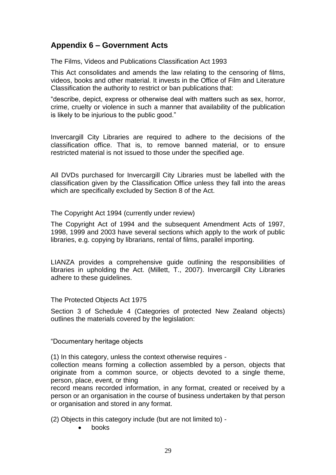# <span id="page-28-0"></span>**Appendix 6 – Government Acts**

The Films, Videos and Publications Classification Act 1993

This Act consolidates and amends the law relating to the censoring of films, videos, books and other material. It invests in the Office of Film and Literature Classification the authority to restrict or ban publications that:

"describe, depict, express or otherwise deal with matters such as sex, horror, crime, cruelty or violence in such a manner that availability of the publication is likely to be injurious to the public good."

Invercargill City Libraries are required to adhere to the decisions of the classification office. That is, to remove banned material, or to ensure restricted material is not issued to those under the specified age.

All DVDs purchased for Invercargill City Libraries must be labelled with the classification given by the Classification Office unless they fall into the areas which are specifically excluded by Section 8 of the Act.

The Copyright Act 1994 (currently under review)

The Copyright Act of 1994 and the subsequent Amendment Acts of 1997, 1998, 1999 and 2003 have several sections which apply to the work of public libraries, e.g. copying by librarians, rental of films, parallel importing.

LIANZA provides a comprehensive guide outlining the responsibilities of libraries in upholding the Act. (Millett, T., 2007). Invercargill City Libraries adhere to these guidelines.

The Protected Objects Act 1975

Section 3 of Schedule 4 (Categories of protected New Zealand objects) outlines the materials covered by the legislation:

"Documentary heritage objects

(1) In this category, unless the context otherwise requires -

collection means forming a collection assembled by a person, objects that originate from a common source, or objects devoted to a single theme, person, place, event, or thing

record means recorded information, in any format, created or received by a person or an organisation in the course of business undertaken by that person or organisation and stored in any format.

(2) Objects in this category include (but are not limited to) -

books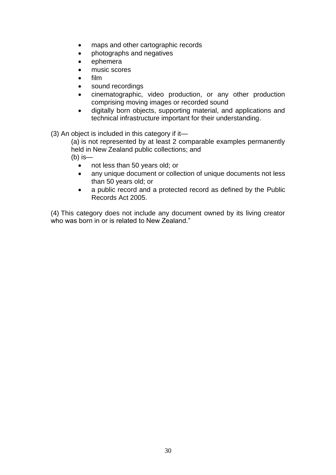- maps and other cartographic records
- photographs and negatives
- ephemera
- music scores
- film
- sound recordings
- cinematographic, video production, or any other production comprising moving images or recorded sound
- digitally born objects, supporting material, and applications and technical infrastructure important for their understanding.
- (3) An object is included in this category if it—

(a) is not represented by at least 2 comparable examples permanently held in New Zealand public collections; and (b) is—

- not less than 50 years old; or
- any unique document or collection of unique documents not less than 50 years old; or
- a public record and a protected record as defined by the Public Records Act 2005.

(4) This category does not include any document owned by its living creator who was born in or is related to New Zealand."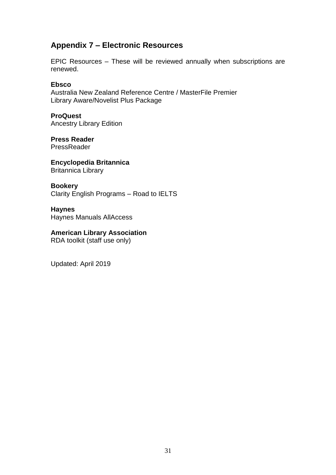# <span id="page-30-0"></span>**Appendix 7 – Electronic Resources**

EPIC Resources – These will be reviewed annually when subscriptions are renewed.

### **Ebsco**

Australia New Zealand Reference Centre / MasterFile Premier Library Aware/Novelist Plus Package

**ProQuest** Ancestry Library Edition

**Press Reader PressReader** 

**Encyclopedia Britannica** Britannica Library

**Bookery** Clarity English Programs – Road to IELTS

**Haynes** Haynes Manuals AllAccess

# **American Library Association**

RDA toolkit (staff use only)

Updated: April 2019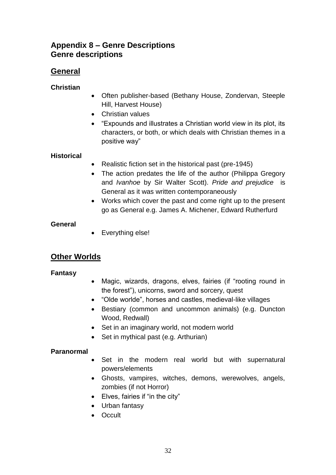# **Appendix 8 – Genre Descriptions Genre descriptions**

# **General**

### **Christian**

- Often publisher-based (Bethany House, Zondervan, Steeple Hill, Harvest House)
- Christian values
- "Expounds and illustrates a Christian world view in its plot, its characters, or both, or which deals with Christian themes in a positive way"

## **Historical**

- Realistic fiction set in the historical past (pre-1945)
- The action predates the life of the author (Philippa Gregory and *Ivanhoe* by Sir Walter Scott). *Pride and prejudice* is General as it was written contemporaneously
- Works which cover the past and come right up to the present go as General e.g. James A. Michener, Edward Rutherfurd

### **General**

• Everything else!

# **Other Worlds**

### **Fantasy**

- Magic, wizards, dragons, elves, fairies (if "rooting round in the forest"), unicorns, sword and sorcery, quest
- "Olde worlde", horses and castles, medieval-like villages
- Bestiary (common and uncommon animals) (e.g. Duncton Wood, Redwall)
- Set in an imaginary world, not modern world
- Set in mythical past (e.g. Arthurian)

### **Paranormal**

- Set in the modern real world but with supernatural powers/elements
- Ghosts, vampires, witches, demons, werewolves, angels, zombies (if not Horror)
- Elves, fairies if "in the city"
- Urban fantasy
- Occult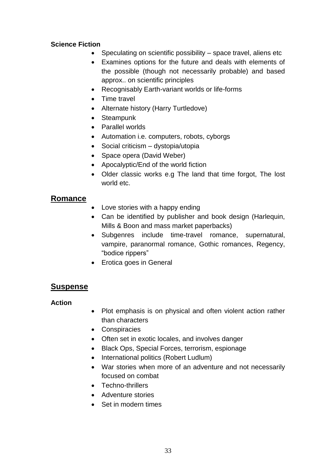### **Science Fiction**

- Speculating on scientific possibility space travel, aliens etc
- Examines options for the future and deals with elements of the possible (though not necessarily probable) and based approx.. on scientific principles
- Recognisably Earth-variant worlds or life-forms
- Time travel
- Alternate history (Harry Turtledove)
- Steampunk
- Parallel worlds
- Automation i.e. computers, robots, cyborgs
- Social criticism dystopia/utopia
- Space opera (David Weber)
- Apocalyptic/End of the world fiction
- Older classic works e.g The land that time forgot, The lost world etc.

### **Romance**

- Love stories with a happy ending
- Can be identified by publisher and book design (Harlequin, Mills & Boon and mass market paperbacks)
- Subgenres include time-travel romance, supernatural, vampire, paranormal romance, Gothic romances, Regency, "bodice rippers"
- Erotica goes in General

# **Suspense**

### **Action**

- Plot emphasis is on physical and often violent action rather than characters
- Conspiracies
- Often set in exotic locales, and involves danger
- Black Ops, Special Forces, terrorism, espionage
- International politics (Robert Ludlum)
- War stories when more of an adventure and not necessarily focused on combat
- Techno-thrillers
- Adventure stories
- Set in modern times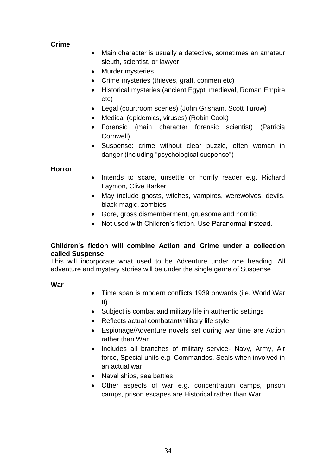### **Crime**

- Main character is usually a detective, sometimes an amateur sleuth, scientist, or lawyer
- Murder mysteries
- Crime mysteries (thieves, graft, conmen etc)
- Historical mysteries (ancient Egypt, medieval, Roman Empire etc)
- Legal (courtroom scenes) (John Grisham, Scott Turow)
- Medical (epidemics, viruses) (Robin Cook)
- Forensic (main character forensic scientist) (Patricia Cornwell)
- Suspense: crime without clear puzzle, often woman in danger (including "psychological suspense")

### **Horror**

- Intends to scare, unsettle or horrify reader e.g. Richard Laymon, Clive Barker
- May include ghosts, witches, vampires, werewolves, devils, black magic, zombies
- Gore, gross dismemberment, gruesome and horrific
- Not used with Children's fiction. Use Paranormal instead.

### **Children's fiction will combine Action and Crime under a collection called Suspense**

This will incorporate what used to be Adventure under one heading. All adventure and mystery stories will be under the single genre of Suspense

### **War**

- Time span is modern conflicts 1939 onwards (i.e. World War II)
- Subject is combat and military life in authentic settings
- Reflects actual combatant/military life style
- Espionage/Adventure novels set during war time are Action rather than War
- Includes all branches of military service- Navy, Army, Air force, Special units e.g. Commandos, Seals when involved in an actual war
- Naval ships, sea battles
- Other aspects of war e.g. concentration camps, prison camps, prison escapes are Historical rather than War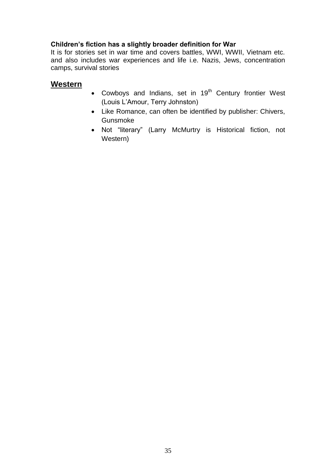## **Children's fiction has a slightly broader definition for War**

It is for stories set in war time and covers battles, WWI, WWII, Vietnam etc. and also includes war experiences and life i.e. Nazis, Jews, concentration camps, survival stories

# **Western**

- Cowboys and Indians, set in 19<sup>th</sup> Century frontier West (Louis L'Amour, Terry Johnston)
- Like Romance, can often be identified by publisher: Chivers, Gunsmoke
- Not "literary" (Larry McMurtry is Historical fiction, not Western)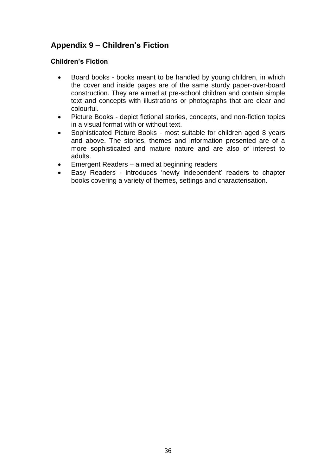# <span id="page-35-0"></span>**Appendix 9 – Children's Fiction**

### **Children's Fiction**

- Board books books meant to be handled by young children, in which the cover and inside pages are of the same sturdy paper-over-board construction. They are aimed at pre-school children and contain simple text and concepts with illustrations or photographs that are clear and colourful.
- Picture Books depict fictional stories, concepts, and non-fiction topics in a visual format with or without text.
- Sophisticated Picture Books most suitable for children aged 8 years and above. The stories, themes and information presented are of a more sophisticated and mature nature and are also of interest to adults.
- Emergent Readers aimed at beginning readers
- Easy Readers introduces 'newly independent' readers to chapter books covering a variety of themes, settings and characterisation.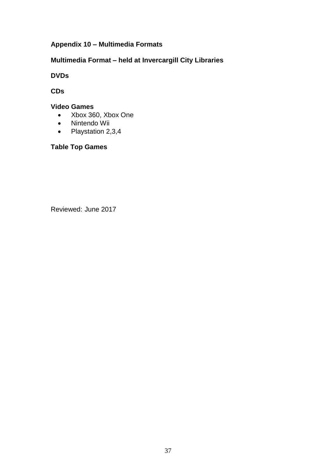# <span id="page-36-0"></span>**Appendix 10 – Multimedia Formats**

## **Multimedia Format – held at Invercargill City Libraries**

**DVDs**

**CDs**

### **Video Games**

- Xbox 360, Xbox One
- Nintendo Wii
- Playstation 2,3,4

**Table Top Games**

Reviewed: June 2017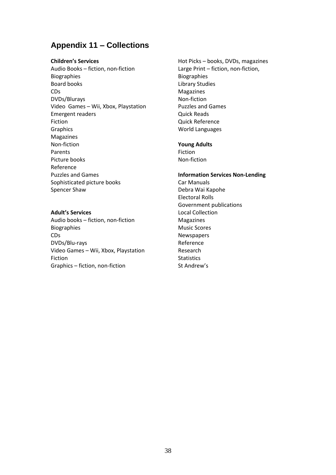# **Appendix 11 – Collections**

#### **Children's Services**

Audio Books – fiction, non-fiction Biographies Board books CDs DVDs/Blurays Video Games – Wii, Xbox, Playstation Emergent readers Fiction Graphics Magazines Non-fiction Parents Picture books Reference Puzzles and Games Sophisticated picture books Spencer Shaw

#### **Adult's Services**

Audio books – fiction, non-fiction Biographies CDs DVDs/Blu-rays Video Games – Wii, Xbox, Playstation Fiction Graphics – fiction, non-fiction

Hot Picks – books, DVDs, magazines Large Print – fiction, non-fiction, Biographies Library Studies Magazines Non-fiction Puzzles and Games Quick Reads Quick Reference World Languages

#### **Young Adults**

Fiction Non-fiction

#### **Information Services Non-Lending** Car Manuals Debra Wai Kapohe Electoral Rolls Government publications Local Collection Magazines

Music Scores **Newspapers** Reference Research **Statistics** St Andrew's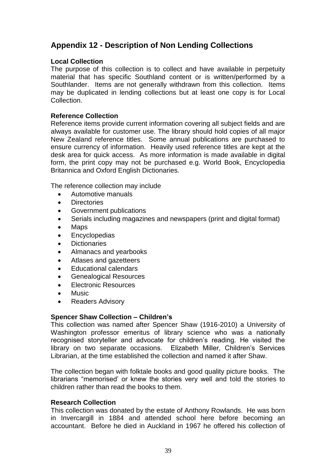# <span id="page-38-0"></span>**Appendix 12 - Description of Non Lending Collections**

### **Local Collection**

The purpose of this collection is to collect and have available in perpetuity material that has specific Southland content or is written/performed by a Southlander. Items are not generally withdrawn from this collection. Items may be duplicated in lending collections but at least one copy is for Local Collection.

### **Reference Collection**

Reference items provide current information covering all subject fields and are always available for customer use. The library should hold copies of all major New Zealand reference titles. Some annual publications are purchased to ensure currency of information. Heavily used reference titles are kept at the desk area for quick access. As more information is made available in digital form, the print copy may not be purchased e.g. World Book, Encyclopedia Britannica and Oxford English Dictionaries.

The reference collection may include

- Automotive manuals
- **Directories**
- Government publications
- Serials including magazines and newspapers (print and digital format)
- Maps
- **•** Encyclopedias
- Dictionaries
- Almanacs and yearbooks
- Atlases and gazetteers
- Educational calendars
- Genealogical Resources
- Electronic Resources
- Music
- Readers Advisory

### **Spencer Shaw Collection – Children's**

This collection was named after Spencer Shaw (1916-2010) a University of Washington professor emeritus of library science who was a nationally recognised storyteller and advocate for children's reading. He visited the library on two separate occasions. Elizabeth Miller, Children's Services Librarian, at the time established the collection and named it after Shaw.

The collection began with folktale books and good quality picture books. The librarians "memorised' or knew the stories very well and told the stories to children rather than read the books to them.

### **Research Collection**

This collection was donated by the estate of Anthony Rowlands. He was born in Invercargill in 1884 and attended school here before becoming an accountant. Before he died in Auckland in 1967 he offered his collection of